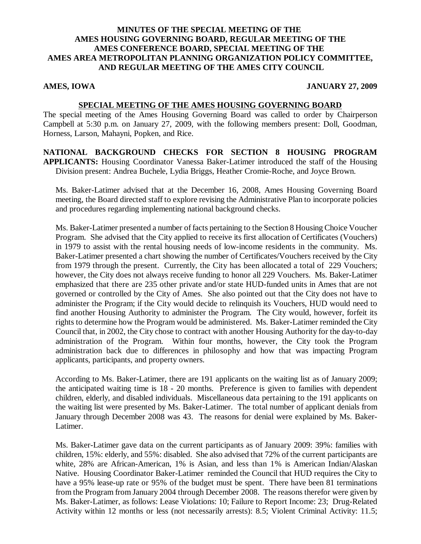## **MINUTES OF THE SPECIAL MEETING OF THE AMES HOUSING GOVERNING BOARD, REGULAR MEETING OF THE AMES CONFERENCE BOARD, SPECIAL MEETING OF THE AMES AREA METROPOLITAN PLANNING ORGANIZATION POLICY COMMITTEE, AND REGULAR MEETING OF THE AMES CITY COUNCIL**

#### **AMES, IOWA JANUARY 27, 2009**

## **SPECIAL MEETING OF THE AMES HOUSING GOVERNING BOARD**

The special meeting of the Ames Housing Governing Board was called to order by Chairperson Campbell at 5:30 p.m. on January 27, 2009, with the following members present: Doll, Goodman, Horness, Larson, Mahayni, Popken, and Rice.

**NATIONAL BACKGROUND CHECKS FOR SECTION 8 HOUSING PROGRAM APPLICANTS:** Housing Coordinator Vanessa Baker-Latimer introduced the staff of the Housing Division present: Andrea Buchele, Lydia Briggs, Heather Cromie-Roche, and Joyce Brown.

Ms. Baker-Latimer advised that at the December 16, 2008, Ames Housing Governing Board meeting, the Board directed staff to explore revising the Administrative Plan to incorporate policies and procedures regarding implementing national background checks.

Ms. Baker-Latimer presented a number of facts pertaining to the Section 8 Housing Choice Voucher Program. She advised that the City applied to receive its first allocation of Certificates (Vouchers) in 1979 to assist with the rental housing needs of low-income residents in the community. Ms. Baker-Latimer presented a chart showing the number of Certificates/Vouchers received by the City from 1979 through the present. Currently, the City has been allocated a total of 229 Vouchers; however, the City does not always receive funding to honor all 229 Vouchers. Ms. Baker-Latimer emphasized that there are 235 other private and/or state HUD-funded units in Ames that are not governed or controlled by the City of Ames. She also pointed out that the City does not have to administer the Program; if the City would decide to relinquish its Vouchers, HUD would need to find another Housing Authority to administer the Program. The City would, however, forfeit its rights to determine how the Program would be administered. Ms. Baker-Latimer reminded the City Council that, in 2002, the City chose to contract with another Housing Authority for the day-to-day administration of the Program. Within four months, however, the City took the Program administration back due to differences in philosophy and how that was impacting Program applicants, participants, and property owners.

According to Ms. Baker-Latimer, there are 191 applicants on the waiting list as of January 2009; the anticipated waiting time is 18 - 20 months. Preference is given to families with dependent children, elderly, and disabled individuals. Miscellaneous data pertaining to the 191 applicants on the waiting list were presented by Ms. Baker-Latimer. The total number of applicant denials from January through December 2008 was 43. The reasons for denial were explained by Ms. Baker-Latimer.

Ms. Baker-Latimer gave data on the current participants as of January 2009: 39%: families with children, 15%: elderly, and 55%: disabled. She also advised that 72% of the current participants are white, 28% are African-American, 1% is Asian, and less than 1% is American Indian/Alaskan Native. Housing Coordinator Baker-Latimer reminded the Council that HUD requires the City to have a 95% lease-up rate or 95% of the budget must be spent. There have been 81 terminations from the Program from January 2004 through December 2008. The reasons therefor were given by Ms. Baker-Latimer, as follows: Lease Violations: 10; Failure to Report Income: 23; Drug-Related Activity within 12 months or less (not necessarily arrests): 8.5; Violent Criminal Activity: 11.5;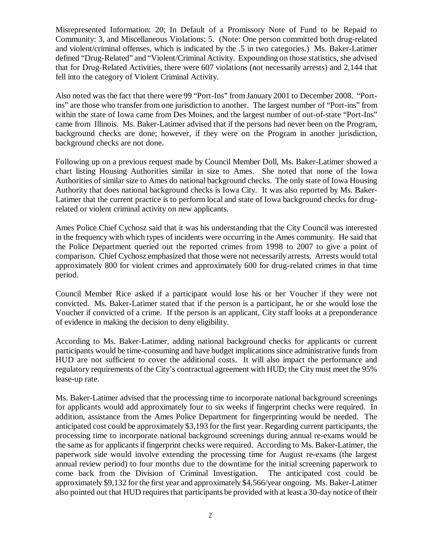Misrepresented Information: 20; In Default of a Promissory Note of Fund to be Repaid to Community: 3, and Miscellaneous Violations: 5. (Note: One person committed both drug-related and violent/criminal offenses, which is indicated by the .5 in two categories.) Ms. Baker-Latimer defined "Drug-Related" and "Violent/Criminal Activity. Expounding on those statistics, she advised that for Drug-Related Activities, there were 607 violations (not necessarily arrests) and 2,144 that fell into the category of Violent Criminal Activity.

Also noted was the fact that there were 99 "Port-Ins" from January 2001 to December 2008. "Portins" are those who transfer from one jurisdiction to another. The largest number of "Port-ins" from within the state of Iowa came from Des Moines, and the largest number of out-of-state "Port-Ins" came from Illinois. Ms. Baker-Latimer advised that if the persons had never been on the Program, background checks are done; however, if they were on the Program in another jurisdiction, background checks are not done.

Following up on a previous request made by Council Member Doll, Ms. Baker-Latimer showed a chart listing Housing Authorities similar in size to Ames. She noted that none of the Iowa Authorities of similar size to Ames do national background checks. The only state of Iowa Housing Authority that does national background checks is Iowa City. It was also reported by Ms. Baker-Latimer that the current practice is to perform local and state of Iowa background checks for drugrelated or violent criminal activity on new applicants.

Ames Police Chief Cychosz said that it was his understanding that the City Council was interested in the frequency with which types of incidents were occurring in the Ames community. He said that the Police Department queried out the reported crimes from 1998 to 2007 to give a point of comparison. Chief Cychosz emphasized that those were not necessarily arrests. Arrests would total approximately 800 for violent crimes and approximately 600 for drug-related crimes in that time period.

Council Member Rice asked if a participant would lose his or her Voucher if they were not convicted. Ms. Baker-Latimer stated that if the person is a participant, he or she would lose the Voucher if convicted of a crime. If the person is an applicant, City staff looks at a preponderance of evidence in making the decision to deny eligibility.

According to Ms. Baker-Latimer, adding national background checks for applicants or current participants would be time-consuming and have budget implications since administrative funds from HUD are not sufficient to cover the additional costs. It will also impact the performance and regulatory requirements of the City's contractual agreement with HUD; the City must meet the 95% lease-up rate.

Ms. Baker-Latimer advised that the processing time to incorporate national background screenings for applicants would add approximately four to six weeks if fingerprint checks were required. In addition, assistance from the Ames Police Department for fingerprinting would be needed. The anticipated cost could be approximately \$3,193 for the first year. Regarding current participants, the processing time to incorporate national background screenings during annual re-exams would be the same as for applicants if fingerprint checks were required. According to Ms. Baker-Latimer, the paperwork side would involve extending the processing time for August re-exams (the largest annual review period) to four months due to the downtime for the initial screening paperwork to come back from the Division of Criminal Investigation. The anticipated cost could be approximately \$9,132 for the first year and approximately \$4,566/year ongoing. Ms. Baker-Latimer also pointed out that HUD requires that participants be provided with at least a 30-day notice of their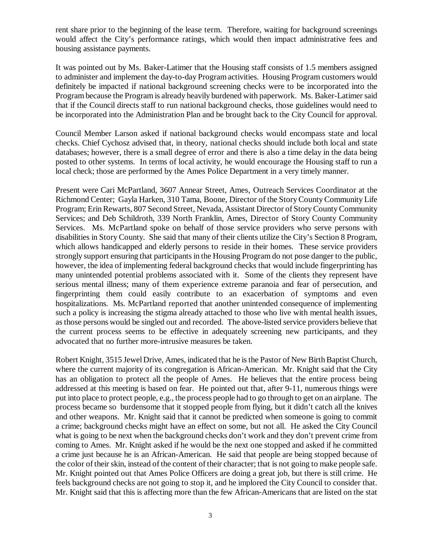rent share prior to the beginning of the lease term. Therefore, waiting for background screenings would affect the City's performance ratings, which would then impact administrative fees and housing assistance payments.

It was pointed out by Ms. Baker-Latimer that the Housing staff consists of 1.5 members assigned to administer and implement the day-to-day Program activities. Housing Program customers would definitely be impacted if national background screening checks were to be incorporated into the Program because the Program is already heavily burdened with paperwork. Ms. Baker-Latimer said that if the Council directs staff to run national background checks, those guidelines would need to be incorporated into the Administration Plan and be brought back to the City Council for approval.

Council Member Larson asked if national background checks would encompass state and local checks. Chief Cychosz advised that, in theory, national checks should include both local and state databases; however, there is a small degree of error and there is also a time delay in the data being posted to other systems. In terms of local activity, he would encourage the Housing staff to run a local check; those are performed by the Ames Police Department in a very timely manner.

Present were Cari McPartland, 3607 Annear Street, Ames, Outreach Services Coordinator at the Richmond Center; Gayla Harken, 310 Tama, Boone, Director of the Story County Community Life Program; Erin Rewarts, 807 Second Street, Nevada, Assistant Director of Story County Community Services; and Deb Schildroth, 339 North Franklin, Ames, Director of Story County Community Services. Ms. McPartland spoke on behalf of those service providers who serve persons with disabilities in Story County. She said that many of their clients utilize the City's Section 8 Program, which allows handicapped and elderly persons to reside in their homes. These service providers strongly support ensuring that participants in the Housing Program do not pose danger to the public, however, the idea of implementing federal background checks that would include fingerprinting has many unintended potential problems associated with it. Some of the clients they represent have serious mental illness; many of them experience extreme paranoia and fear of persecution, and fingerprinting them could easily contribute to an exacerbation of symptoms and even hospitalizations. Ms. McPartland reported that another unintended consequence of implementing such a policy is increasing the stigma already attached to those who live with mental health issues, as those persons would be singled out and recorded. The above-listed service providers believe that the current process seems to be effective in adequately screening new participants, and they advocated that no further more-intrusive measures be taken.

Robert Knight, 3515 Jewel Drive, Ames, indicated that he is the Pastor of New Birth Baptist Church, where the current majority of its congregation is African-American. Mr. Knight said that the City has an obligation to protect all the people of Ames. He believes that the entire process being addressed at this meeting is based on fear. He pointed out that, after 9-11, numerous things were put into place to protect people, e.g., the process people had to go through to get on an airplane. The process became so burdensome that it stopped people from flying, but it didn't catch all the knives and other weapons. Mr. Knight said that it cannot be predicted when someone is going to commit a crime; background checks might have an effect on some, but not all. He asked the City Council what is going to be next when the background checks don't work and they don't prevent crime from coming to Ames. Mr. Knight asked if he would be the next one stopped and asked if he committed a crime just because he is an African-American. He said that people are being stopped because of the color of their skin, instead of the content of their character; that is not going to make people safe. Mr. Knight pointed out that Ames Police Officers are doing a great job, but there is still crime. He feels background checks are not going to stop it, and he implored the City Council to consider that. Mr. Knight said that this is affecting more than the few African-Americans that are listed on the stat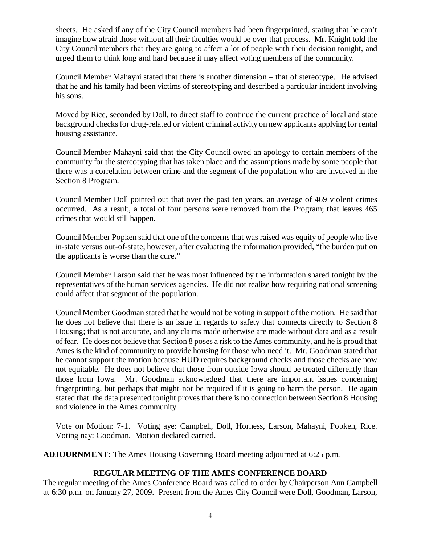sheets. He asked if any of the City Council members had been fingerprinted, stating that he can't imagine how afraid those without all their faculties would be over that process. Mr. Knight told the City Council members that they are going to affect a lot of people with their decision tonight, and urged them to think long and hard because it may affect voting members of the community.

Council Member Mahayni stated that there is another dimension – that of stereotype. He advised that he and his family had been victims of stereotyping and described a particular incident involving his sons.

Moved by Rice, seconded by Doll, to direct staff to continue the current practice of local and state background checks for drug-related or violent criminal activity on new applicants applying for rental housing assistance.

Council Member Mahayni said that the City Council owed an apology to certain members of the community for the stereotyping that has taken place and the assumptions made by some people that there was a correlation between crime and the segment of the population who are involved in the Section 8 Program.

Council Member Doll pointed out that over the past ten years, an average of 469 violent crimes occurred. As a result, a total of four persons were removed from the Program; that leaves 465 crimes that would still happen.

Council Member Popken said that one of the concerns that was raised was equity of people who live in-state versus out-of-state; however, after evaluating the information provided, "the burden put on the applicants is worse than the cure."

Council Member Larson said that he was most influenced by the information shared tonight by the representatives of the human services agencies. He did not realize how requiring national screening could affect that segment of the population.

Council Member Goodman stated that he would not be voting in support of the motion. He said that he does not believe that there is an issue in regards to safety that connects directly to Section 8 Housing; that is not accurate, and any claims made otherwise are made without data and as a result of fear. He does not believe that Section 8 poses a risk to the Ames community, and he is proud that Ames is the kind of community to provide housing for those who need it. Mr. Goodman stated that he cannot support the motion because HUD requires background checks and those checks are now not equitable. He does not believe that those from outside Iowa should be treated differently than those from Iowa. Mr. Goodman acknowledged that there are important issues concerning fingerprinting, but perhaps that might not be required if it is going to harm the person. He again stated that the data presented tonight proves that there is no connection between Section 8 Housing and violence in the Ames community.

Vote on Motion: 7-1. Voting aye: Campbell, Doll, Horness, Larson, Mahayni, Popken, Rice. Voting nay: Goodman. Motion declared carried.

**ADJOURNMENT:** The Ames Housing Governing Board meeting adjourned at 6:25 p.m.

## **REGULAR MEETING OF THE AMES CONFERENCE BOARD**

The regular meeting of the Ames Conference Board was called to order by Chairperson Ann Campbell at 6:30 p.m. on January 27, 2009. Present from the Ames City Council were Doll, Goodman, Larson,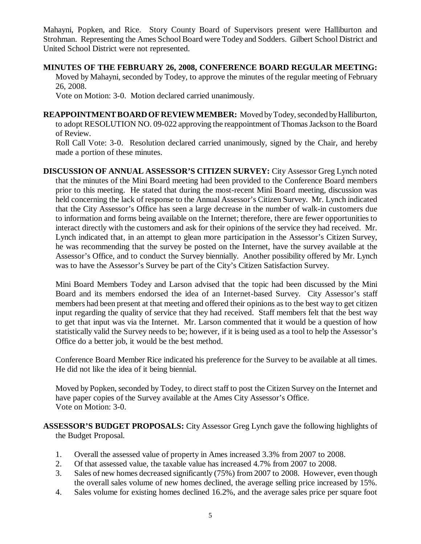Mahayni, Popken, and Rice. Story County Board of Supervisors present were Halliburton and Strohman. Representing the Ames School Board were Todey and Sodders. Gilbert School District and United School District were not represented.

**MINUTES OF THE FEBRUARY 26, 2008, CONFERENCE BOARD REGULAR MEETING:** Moved by Mahayni, seconded by Todey, to approve the minutes of the regular meeting of February 26, 2008.

Vote on Motion: 3-0. Motion declared carried unanimously.

**REAPPOINTMENT BOARD OF REVIEW MEMBER:** Moved by Todey, seconded by Halliburton, to adopt RESOLUTION NO. 09-022 approving the reappointment of Thomas Jackson to the Board of Review.

Roll Call Vote: 3-0. Resolution declared carried unanimously, signed by the Chair, and hereby made a portion of these minutes.

**DISCUSSION OF ANNUAL ASSESSOR'S CITIZEN SURVEY:** City Assessor Greg Lynch noted that the minutes of the Mini Board meeting had been provided to the Conference Board members prior to this meeting. He stated that during the most-recent Mini Board meeting, discussion was held concerning the lack of response to the Annual Assessor's Citizen Survey. Mr. Lynch indicated that the City Assessor's Office has seen a large decrease in the number of walk-in customers due to information and forms being available on the Internet; therefore, there are fewer opportunities to interact directly with the customers and ask for their opinions of the service they had received. Mr. Lynch indicated that, in an attempt to glean more participation in the Assessor's Citizen Survey, he was recommending that the survey be posted on the Internet, have the survey available at the Assessor's Office, and to conduct the Survey biennially. Another possibility offered by Mr. Lynch was to have the Assessor's Survey be part of the City's Citizen Satisfaction Survey.

Mini Board Members Todey and Larson advised that the topic had been discussed by the Mini Board and its members endorsed the idea of an Internet-based Survey. City Assessor's staff members had been present at that meeting and offered their opinions as to the best way to get citizen input regarding the quality of service that they had received. Staff members felt that the best way to get that input was via the Internet. Mr. Larson commented that it would be a question of how statistically valid the Survey needs to be; however, if it is being used as a tool to help the Assessor's Office do a better job, it would be the best method.

Conference Board Member Rice indicated his preference for the Survey to be available at all times. He did not like the idea of it being biennial.

Moved by Popken, seconded by Todey, to direct staff to post the Citizen Survey on the Internet and have paper copies of the Survey available at the Ames City Assessor's Office. Vote on Motion: 3-0.

**ASSESSOR'S BUDGET PROPOSALS:** City Assessor Greg Lynch gave the following highlights of the Budget Proposal.

- 1. Overall the assessed value of property in Ames increased 3.3% from 2007 to 2008.
- 2. Of that assessed value, the taxable value has increased 4.7% from 2007 to 2008.
- 3. Sales of new homes decreased significantly (75%) from 2007 to 2008. However, even though the overall sales volume of new homes declined, the average selling price increased by 15%.
- 4. Sales volume for existing homes declined 16.2%, and the average sales price per square foot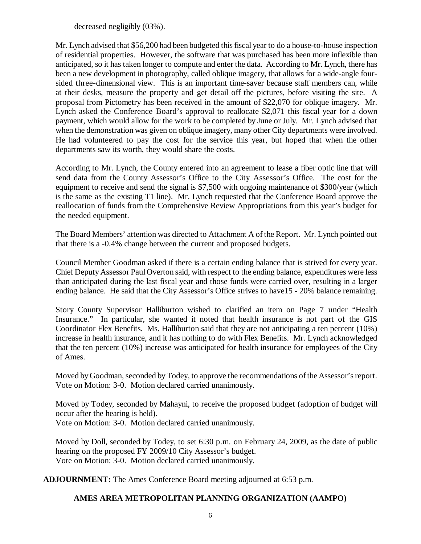decreased negligibly (03%).

Mr. Lynch advised that \$56,200 had been budgeted this fiscal year to do a house-to-house inspection of residential properties. However, the software that was purchased has been more inflexible than anticipated, so it has taken longer to compute and enter the data. According to Mr. Lynch, there has been a new development in photography, called oblique imagery, that allows for a wide-angle foursided three-dimensional view. This is an important time-saver because staff members can, while at their desks, measure the property and get detail off the pictures, before visiting the site. A proposal from Pictometry has been received in the amount of \$22,070 for oblique imagery. Mr. Lynch asked the Conference Board's approval to reallocate \$2,071 this fiscal year for a down payment, which would allow for the work to be completed by June or July. Mr. Lynch advised that when the demonstration was given on oblique imagery, many other City departments were involved. He had volunteered to pay the cost for the service this year, but hoped that when the other departments saw its worth, they would share the costs.

According to Mr. Lynch, the County entered into an agreement to lease a fiber optic line that will send data from the County Assessor's Office to the City Assessor's Office. The cost for the equipment to receive and send the signal is \$7,500 with ongoing maintenance of \$300/year (which is the same as the existing T1 line). Mr. Lynch requested that the Conference Board approve the reallocation of funds from the Comprehensive Review Appropriations from this year's budget for the needed equipment.

The Board Members' attention was directed to Attachment A of the Report. Mr. Lynch pointed out that there is a -0.4% change between the current and proposed budgets.

Council Member Goodman asked if there is a certain ending balance that is strived for every year. Chief Deputy Assessor Paul Overton said, with respect to the ending balance, expenditures were less than anticipated during the last fiscal year and those funds were carried over, resulting in a larger ending balance. He said that the City Assessor's Office strives to have15 - 20% balance remaining.

Story County Supervisor Halliburton wished to clarified an item on Page 7 under "Health Insurance." In particular, she wanted it noted that health insurance is not part of the GIS Coordinator Flex Benefits. Ms. Halliburton said that they are not anticipating a ten percent (10%) increase in health insurance, and it has nothing to do with Flex Benefits. Mr. Lynch acknowledged that the ten percent (10%) increase was anticipated for health insurance for employees of the City of Ames.

Moved by Goodman, seconded by Todey, to approve the recommendations of the Assessor's report. Vote on Motion: 3-0. Motion declared carried unanimously.

Moved by Todey, seconded by Mahayni, to receive the proposed budget (adoption of budget will occur after the hearing is held).

Vote on Motion: 3-0. Motion declared carried unanimously.

Moved by Doll, seconded by Todey, to set 6:30 p.m. on February 24, 2009, as the date of public hearing on the proposed FY 2009/10 City Assessor's budget. Vote on Motion: 3-0. Motion declared carried unanimously.

**ADJOURNMENT:** The Ames Conference Board meeting adjourned at 6:53 p.m.

# **AMES AREA METROPOLITAN PLANNING ORGANIZATION (AAMPO)**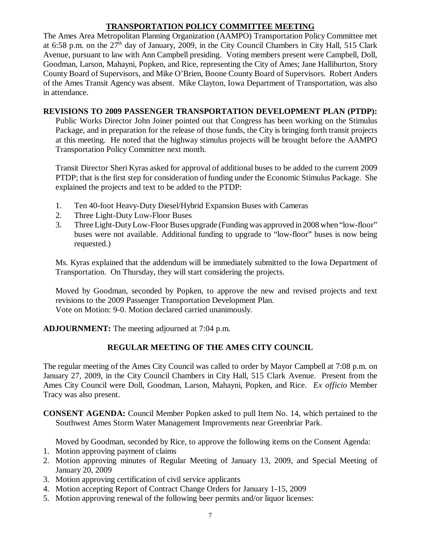# **TRANSPORTATION POLICY COMMITTEE MEETING**

The Ames Area Metropolitan Planning Organization (AAMPO) Transportation Policy Committee met at 6:58 p.m. on the  $27<sup>th</sup>$  day of January, 2009, in the City Council Chambers in City Hall, 515 Clark Avenue, pursuant to law with Ann Campbell presiding. Voting members present were Campbell, Doll, Goodman, Larson, Mahayni, Popken, and Rice, representing the City of Ames; Jane Halliburton, Story County Board of Supervisors, and Mike O'Brien, Boone County Board of Supervisors. Robert Anders of the Ames Transit Agency was absent. Mike Clayton, Iowa Department of Transportation, was also in attendance.

## **REVISIONS TO 2009 PASSENGER TRANSPORTATION DEVELOPMENT PLAN (PTDP):**

Public Works Director John Joiner pointed out that Congress has been working on the Stimulus Package, and in preparation for the release of those funds, the City is bringing forth transit projects at this meeting. He noted that the highway stimulus projects will be brought before the AAMPO Transportation Policy Committee next month.

Transit Director Sheri Kyras asked for approval of additional buses to be added to the current 2009 PTDP; that is the first step for consideration of funding under the Economic Stimulus Package. She explained the projects and text to be added to the PTDP:

- 1. Ten 40-foot Heavy-Duty Diesel/Hybrid Expansion Buses with Cameras
- 2. Three Light-Duty Low-Floor Buses
- 3. Three Light-Duty Low-Floor Buses upgrade (Funding was approved in 2008 when "low-floor" buses were not available. Additional funding to upgrade to "low-floor" buses is now being requested.)

Ms. Kyras explained that the addendum will be immediately submitted to the Iowa Department of Transportation. On Thursday, they will start considering the projects.

Moved by Goodman, seconded by Popken, to approve the new and revised projects and text revisions to the 2009 Passenger Transportation Development Plan. Vote on Motion: 9-0. Motion declared carried unanimously.

**ADJOURNMENT:** The meeting adjourned at 7:04 p.m.

# **REGULAR MEETING OF THE AMES CITY COUNCIL**

The regular meeting of the Ames City Council was called to order by Mayor Campbell at 7:08 p.m. on January 27, 2009, in the City Council Chambers in City Hall, 515 Clark Avenue. Present from the Ames City Council were Doll, Goodman, Larson, Mahayni, Popken, and Rice. *Ex officio* Member Tracy was also present.

**CONSENT AGENDA:** Council Member Popken asked to pull Item No. 14, which pertained to the Southwest Ames Storm Water Management Improvements near Greenbriar Park.

Moved by Goodman, seconded by Rice, to approve the following items on the Consent Agenda:

- 1. Motion approving payment of claims
- 2. Motion approving minutes of Regular Meeting of January 13, 2009, and Special Meeting of January 20, 2009
- 3. Motion approving certification of civil service applicants
- 4. Motion accepting Report of Contract Change Orders for January 1-15, 2009
- 5. Motion approving renewal of the following beer permits and/or liquor licenses: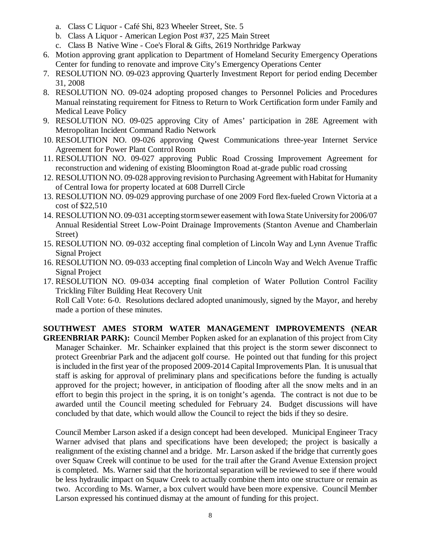- a. Class C Liquor Café Shi, 823 Wheeler Street, Ste. 5
- b. Class A Liquor American Legion Post #37, 225 Main Street
- c. Class B Native Wine Coe's Floral & Gifts, 2619 Northridge Parkway
- 6. Motion approving grant application to Department of Homeland Security Emergency Operations Center for funding to renovate and improve City's Emergency Operations Center
- 7. RESOLUTION NO. 09-023 approving Quarterly Investment Report for period ending December 31, 2008
- 8. RESOLUTION NO. 09-024 adopting proposed changes to Personnel Policies and Procedures Manual reinstating requirement for Fitness to Return to Work Certification form under Family and Medical Leave Policy
- 9. RESOLUTION NO. 09-025 approving City of Ames' participation in 28E Agreement with Metropolitan Incident Command Radio Network
- 10. RESOLUTION NO. 09-026 approving Qwest Communications three-year Internet Service Agreement for Power Plant Control Room
- 11. RESOLUTION NO. 09-027 approving Public Road Crossing Improvement Agreement for reconstruction and widening of existing Bloomington Road at-grade public road crossing
- 12. RESOLUTION NO. 09-028 approving revision to Purchasing Agreement with Habitat for Humanity of Central Iowa for property located at 608 Durrell Circle
- 13. RESOLUTION NO. 09-029 approving purchase of one 2009 Ford flex-fueled Crown Victoria at a cost of \$22,510
- 14. RESOLUTION NO. 09-031 accepting storm sewer easement with Iowa State University for 2006/07 Annual Residential Street Low-Point Drainage Improvements (Stanton Avenue and Chamberlain Street)
- 15. RESOLUTION NO. 09-032 accepting final completion of Lincoln Way and Lynn Avenue Traffic Signal Project
- 16. RESOLUTION NO. 09-033 accepting final completion of Lincoln Way and Welch Avenue Traffic Signal Project
- 17. RESOLUTION NO. 09-034 accepting final completion of Water Pollution Control Facility Trickling Filter Building Heat Recovery Unit

Roll Call Vote: 6-0. Resolutions declared adopted unanimously, signed by the Mayor, and hereby made a portion of these minutes.

**SOUTHWEST AMES STORM WATER MANAGEMENT IMPROVEMENTS (NEAR**

**GREENBRIAR PARK):** Council Member Popken asked for an explanation of this project from City Manager Schainker. Mr. Schainker explained that this project is the storm sewer disconnect to protect Greenbriar Park and the adjacent golf course. He pointed out that funding for this project is included in the first year of the proposed 2009-2014 Capital Improvements Plan. It is unusual that staff is asking for approval of preliminary plans and specifications before the funding is actually approved for the project; however, in anticipation of flooding after all the snow melts and in an effort to begin this project in the spring, it is on tonight's agenda. The contract is not due to be awarded until the Council meeting scheduled for February 24. Budget discussions will have concluded by that date, which would allow the Council to reject the bids if they so desire.

Council Member Larson asked if a design concept had been developed. Municipal Engineer Tracy Warner advised that plans and specifications have been developed; the project is basically a realignment of the existing channel and a bridge. Mr. Larson asked if the bridge that currently goes over Squaw Creek will continue to be used for the trail after the Grand Avenue Extension project is completed. Ms. Warner said that the horizontal separation will be reviewed to see if there would be less hydraulic impact on Squaw Creek to actually combine them into one structure or remain as two. According to Ms. Warner, a box culvert would have been more expensive. Council Member Larson expressed his continued dismay at the amount of funding for this project.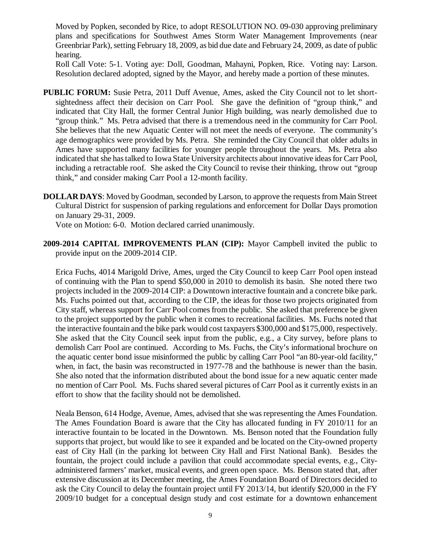Moved by Popken, seconded by Rice, to adopt RESOLUTION NO. 09-030 approving preliminary plans and specifications for Southwest Ames Storm Water Management Improvements (near Greenbriar Park), setting February 18, 2009, as bid due date and February 24, 2009, as date of public hearing.

Roll Call Vote: 5-1. Voting aye: Doll, Goodman, Mahayni, Popken, Rice. Voting nay: Larson. Resolution declared adopted, signed by the Mayor, and hereby made a portion of these minutes.

- **PUBLIC FORUM:** Susie Petra, 2011 Duff Avenue, Ames, asked the City Council not to let shortsightedness affect their decision on Carr Pool. She gave the definition of "group think," and indicated that City Hall, the former Central Junior High building, was nearly demolished due to "group think." Ms. Petra advised that there is a tremendous need in the community for Carr Pool. She believes that the new Aquatic Center will not meet the needs of everyone. The community's age demographics were provided by Ms. Petra. She reminded the City Council that older adults in Ames have supported many facilities for younger people throughout the years. Ms. Petra also indicated that she has talked to Iowa State University architects about innovative ideas for Carr Pool, including a retractable roof. She asked the City Council to revise their thinking, throw out "group think," and consider making Carr Pool a 12-month facility.
- **DOLLAR DAYS**: Moved by Goodman, seconded by Larson, to approve the requests from Main Street Cultural District for suspension of parking regulations and enforcement for Dollar Days promotion on January 29-31, 2009.

Vote on Motion: 6-0. Motion declared carried unanimously.

**2009-2014 CAPITAL IMPROVEMENTS PLAN (CIP):** Mayor Campbell invited the public to provide input on the 2009-2014 CIP.

Erica Fuchs, 4014 Marigold Drive, Ames, urged the City Council to keep Carr Pool open instead of continuing with the Plan to spend \$50,000 in 2010 to demolish its basin. She noted there two projects included in the 2009-2014 CIP: a Downtown interactive fountain and a concrete bike park. Ms. Fuchs pointed out that, according to the CIP, the ideas for those two projects originated from City staff, whereas support for Carr Pool comes from the public. She asked that preference be given to the project supported by the public when it comes to recreational facilities. Ms. Fuchs noted that the interactive fountain and the bike park would cost taxpayers \$300,000 and \$175,000, respectively. She asked that the City Council seek input from the public, e.g., a City survey, before plans to demolish Carr Pool are continued. According to Ms. Fuchs, the City's informational brochure on the aquatic center bond issue misinformed the public by calling Carr Pool "an 80-year-old facility," when, in fact, the basin was reconstructed in 1977-78 and the bathhouse is newer than the basin. She also noted that the information distributed about the bond issue for a new aquatic center made no mention of Carr Pool. Ms. Fuchs shared several pictures of Carr Pool as it currently exists in an effort to show that the facility should not be demolished.

Neala Benson, 614 Hodge, Avenue, Ames, advised that she was representing the Ames Foundation. The Ames Foundation Board is aware that the City has allocated funding in FY 2010/11 for an interactive fountain to be located in the Downtown. Ms. Benson noted that the Foundation fully supports that project, but would like to see it expanded and be located on the City-owned property east of City Hall (in the parking lot between City Hall and First National Bank). Besides the fountain, the project could include a pavilion that could accommodate special events, e.g., Cityadministered farmers' market, musical events, and green open space. Ms. Benson stated that, after extensive discussion at its December meeting, the Ames Foundation Board of Directors decided to ask the City Council to delay the fountain project until FY 2013/14, but identify \$20,000 in the FY 2009/10 budget for a conceptual design study and cost estimate for a downtown enhancement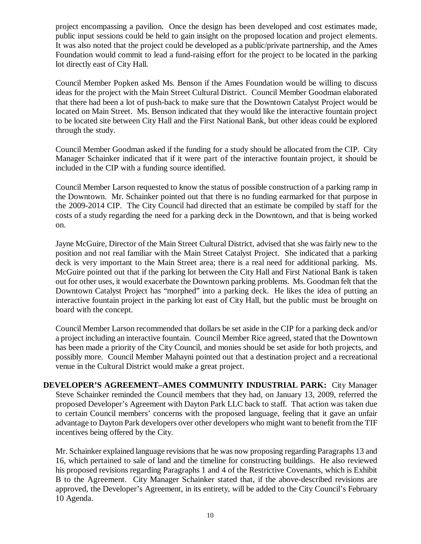project encompassing a pavilion. Once the design has been developed and cost estimates made, public input sessions could be held to gain insight on the proposed location and project elements. It was also noted that the project could be developed as a public/private partnership, and the Ames Foundation would commit to lead a fund-raising effort for the project to be located in the parking lot directly east of City Hall.

Council Member Popken asked Ms. Benson if the Ames Foundation would be willing to discuss ideas for the project with the Main Street Cultural District. Council Member Goodman elaborated that there had been a lot of push-back to make sure that the Downtown Catalyst Project would be located on Main Street. Ms. Benson indicated that they would like the interactive fountain project to be located site between City Hall and the First National Bank, but other ideas could be explored through the study.

Council Member Goodman asked if the funding for a study should be allocated from the CIP. City Manager Schainker indicated that if it were part of the interactive fountain project, it should be included in the CIP with a funding source identified.

Council Member Larson requested to know the status of possible construction of a parking ramp in the Downtown. Mr. Schainker pointed out that there is no funding earmarked for that purpose in the 2009-2014 CIP. The City Council had directed that an estimate be compiled by staff for the costs of a study regarding the need for a parking deck in the Downtown, and that is being worked on.

Jayne McGuire, Director of the Main Street Cultural District, advised that she was fairly new to the position and not real familiar with the Main Street Catalyst Project. She indicated that a parking deck is very important to the Main Street area; there is a real need for additional parking. Ms. McGuire pointed out that if the parking lot between the City Hall and First National Bank is taken out for other uses, it would exacerbate the Downtown parking problems. Ms. Goodman felt that the Downtown Catalyst Project has "morphed" into a parking deck. He likes the idea of putting an interactive fountain project in the parking lot east of City Hall, but the public must be brought on board with the concept.

Council Member Larson recommended that dollars be set aside in the CIP for a parking deck and/or a project including an interactive fountain. Council Member Rice agreed, stated that the Downtown has been made a priority of the City Council, and monies should be set aside for both projects, and possibly more. Council Member Mahayni pointed out that a destination project and a recreational venue in the Cultural District would make a great project.

**DEVELOPER'S AGREEMENT–AMES COMMUNITY INDUSTRIAL PARK:** City Manager Steve Schainker reminded the Council members that they had, on January 13, 2009, referred the proposed Developer's Agreement with Dayton Park LLC back to staff. That action was taken due to certain Council members' concerns with the proposed language, feeling that it gave an unfair advantage to Dayton Park developers over other developers who might want to benefit from the TIF incentives being offered by the City.

Mr. Schainker explained language revisions that he was now proposing regarding Paragraphs 13 and 16, which pertained to sale of land and the timeline for constructing buildings. He also reviewed his proposed revisions regarding Paragraphs 1 and 4 of the Restrictive Covenants, which is Exhibit B to the Agreement. City Manager Schainker stated that, if the above-described revisions are approved, the Developer's Agreement, in its entirety, will be added to the City Council's February 10 Agenda.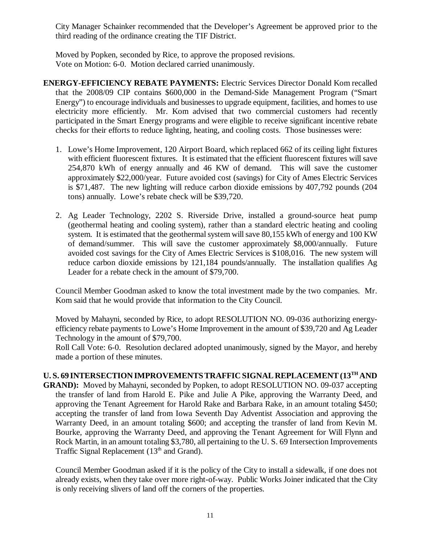City Manager Schainker recommended that the Developer's Agreement be approved prior to the third reading of the ordinance creating the TIF District.

Moved by Popken, seconded by Rice, to approve the proposed revisions. Vote on Motion: 6-0. Motion declared carried unanimously.

- **ENERGY-EFFICIENCY REBATE PAYMENTS:** Electric Services Director Donald Kom recalled that the 2008/09 CIP contains \$600,000 in the Demand-Side Management Program ("Smart Energy") to encourage individuals and businesses to upgrade equipment, facilities, and homes to use electricity more efficiently. Mr. Kom advised that two commercial customers had recently participated in the Smart Energy programs and were eligible to receive significant incentive rebate checks for their efforts to reduce lighting, heating, and cooling costs. Those businesses were:
	- 1. Lowe's Home Improvement, 120 Airport Board, which replaced 662 of its ceiling light fixtures with efficient fluorescent fixtures. It is estimated that the efficient fluorescent fixtures will save 254,870 kWh of energy annually and 46 KW of demand. This will save the customer approximately \$22,000/year. Future avoided cost (savings) for City of Ames Electric Services is \$71,487. The new lighting will reduce carbon dioxide emissions by 407,792 pounds (204 tons) annually. Lowe's rebate check will be \$39,720.
	- 2. Ag Leader Technology, 2202 S. Riverside Drive, installed a ground-source heat pump (geothermal heating and cooling system), rather than a standard electric heating and cooling system. It is estimated that the geothermal system will save 80,155 kWh of energy and 100 KW of demand/summer. This will save the customer approximately \$8,000/annually. Future avoided cost savings for the City of Ames Electric Services is \$108,016. The new system will reduce carbon dioxide emissions by 121,184 pounds/annually. The installation qualifies Ag Leader for a rebate check in the amount of \$79,700.

Council Member Goodman asked to know the total investment made by the two companies. Mr. Kom said that he would provide that information to the City Council.

Moved by Mahayni, seconded by Rice, to adopt RESOLUTION NO. 09-036 authorizing energyefficiency rebate payments to Lowe's Home Improvement in the amount of \$39,720 and Ag Leader Technology in the amount of \$79,700.

Roll Call Vote: 6-0. Resolution declared adopted unanimously, signed by the Mayor, and hereby made a portion of these minutes.

## **U. S. 69 INTERSECTION IMPROVEMENTS TRAFFIC SIGNAL REPLACEMENT (13TH AND**

**GRAND):** Moved by Mahayni, seconded by Popken, to adopt RESOLUTION NO. 09-037 accepting the transfer of land from Harold E. Pike and Julie A Pike, approving the Warranty Deed, and approving the Tenant Agreement for Harold Rake and Barbara Rake, in an amount totaling \$450; accepting the transfer of land from Iowa Seventh Day Adventist Association and approving the Warranty Deed, in an amount totaling \$600; and accepting the transfer of land from Kevin M. Bourke, approving the Warranty Deed, and approving the Tenant Agreement for Will Flynn and Rock Martin, in an amount totaling \$3,780, all pertaining to the U. S. 69 Intersection Improvements Traffic Signal Replacement  $(13<sup>th</sup>$  and Grand).

Council Member Goodman asked if it is the policy of the City to install a sidewalk, if one does not already exists, when they take over more right-of-way. Public Works Joiner indicated that the City is only receiving slivers of land off the corners of the properties.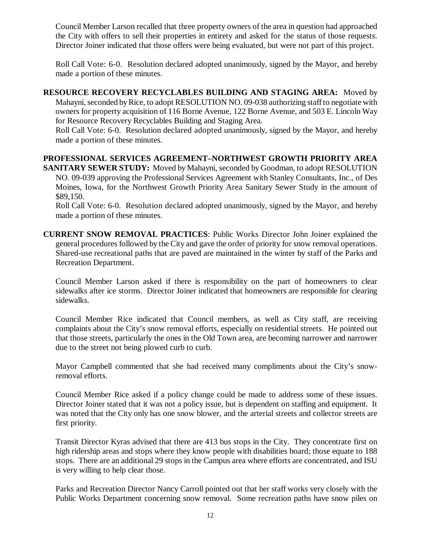Council Member Larson recalled that three property owners of the area in question had approached the City with offers to sell their properties in entirety and asked for the status of those requests. Director Joiner indicated that those offers were being evaluated, but were not part of this project.

Roll Call Vote: 6-0. Resolution declared adopted unanimously, signed by the Mayor, and hereby made a portion of these minutes.

**RESOURCE RECOVERY RECYCLABLES BUILDING AND STAGING AREA:** Moved by Mahayni, seconded by Rice, to adopt RESOLUTION NO. 09-038 authorizing staff to negotiate with owners for property acquisition of 116 Borne Avenue, 122 Borne Avenue, and 503 E. Lincoln Way for Resource Recovery Recyclables Building and Staging Area.

Roll Call Vote: 6-0. Resolution declared adopted unanimously, signed by the Mayor, and hereby made a portion of these minutes.

# **PROFESSIONAL SERVICES AGREEMENT–NORTHWEST GROWTH PRIORITY AREA**

**SANITARY SEWER STUDY:** Moved by Mahayni, seconded by Goodman, to adopt RESOLUTION NO. 09-039 approving the Professional Services Agreement with Stanley Consultants, Inc., of Des Moines, Iowa, for the Northwest Growth Priority Area Sanitary Sewer Study in the amount of \$89,150.

Roll Call Vote: 6-0. Resolution declared adopted unanimously, signed by the Mayor, and hereby made a portion of these minutes.

**CURRENT SNOW REMOVAL PRACTICES**: Public Works Director John Joiner explained the general procedures followed by the City and gave the order of priority for snow removal operations. Shared-use recreational paths that are paved are maintained in the winter by staff of the Parks and Recreation Department.

Council Member Larson asked if there is responsibility on the part of homeowners to clear sidewalks after ice storms. Director Joiner indicated that homeowners are responsible for clearing sidewalks.

Council Member Rice indicated that Council members, as well as City staff, are receiving complaints about the City's snow removal efforts, especially on residential streets. He pointed out that those streets, particularly the ones in the Old Town area, are becoming narrower and narrower due to the street not being plowed curb to curb.

Mayor Campbell commented that she had received many compliments about the City's snowremoval efforts.

Council Member Rice asked if a policy change could be made to address some of these issues. Director Joiner stated that it was not a policy issue, but is dependent on staffing and equipment. It was noted that the City only has one snow blower, and the arterial streets and collector streets are first priority.

Transit Director Kyras advised that there are 413 bus stops in the City. They concentrate first on high ridership areas and stops where they know people with disabilities board; those equate to 188 stops. There are an additional 29 stops in the Campus area where efforts are concentrated, and ISU is very willing to help clear those.

Parks and Recreation Director Nancy Carroll pointed out that her staff works very closely with the Public Works Department concerning snow removal. Some recreation paths have snow piles on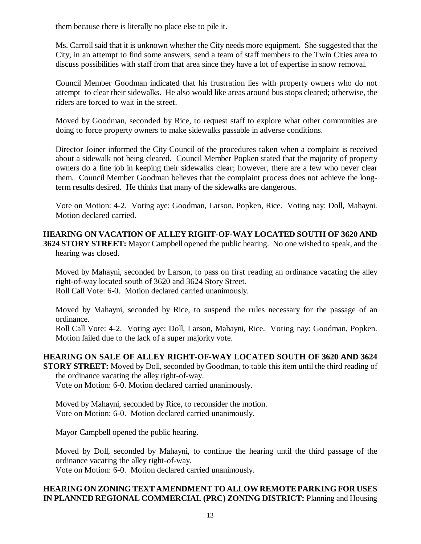them because there is literally no place else to pile it.

Ms. Carroll said that it is unknown whether the City needs more equipment. She suggested that the City, in an attempt to find some answers, send a team of staff members to the Twin Cities area to discuss possibilities with staff from that area since they have a lot of expertise in snow removal.

Council Member Goodman indicated that his frustration lies with property owners who do not attempt to clear their sidewalks. He also would like areas around bus stops cleared; otherwise, the riders are forced to wait in the street.

Moved by Goodman, seconded by Rice, to request staff to explore what other communities are doing to force property owners to make sidewalks passable in adverse conditions.

Director Joiner informed the City Council of the procedures taken when a complaint is received about a sidewalk not being cleared. Council Member Popken stated that the majority of property owners do a fine job in keeping their sidewalks clear; however, there are a few who never clear them. Council Member Goodman believes that the complaint process does not achieve the longterm results desired. He thinks that many of the sidewalks are dangerous.

Vote on Motion: 4-2. Voting aye: Goodman, Larson, Popken, Rice. Voting nay: Doll, Mahayni. Motion declared carried.

**HEARING ON VACATION OF ALLEY RIGHT-OF-WAY LOCATED SOUTH OF 3620 AND 3624 STORY STREET:** Mayor Campbell opened the public hearing. No one wished to speak, and the hearing was closed.

Moved by Mahayni, seconded by Larson, to pass on first reading an ordinance vacating the alley right-of-way located south of 3620 and 3624 Story Street. Roll Call Vote: 6-0. Motion declared carried unanimously.

Moved by Mahayni, seconded by Rice, to suspend the rules necessary for the passage of an ordinance.

Roll Call Vote: 4-2. Voting aye: Doll, Larson, Mahayni, Rice. Voting nay: Goodman, Popken. Motion failed due to the lack of a super majority vote.

# **HEARING ON SALE OF ALLEY RIGHT-OF-WAY LOCATED SOUTH OF 3620 AND 3624**

**STORY STREET:** Moved by Doll, seconded by Goodman, to table this item until the third reading of the ordinance vacating the alley right-of-way.

Vote on Motion: 6-0. Motion declared carried unanimously.

Moved by Mahayni, seconded by Rice, to reconsider the motion. Vote on Motion: 6-0. Motion declared carried unanimously.

Mayor Campbell opened the public hearing.

Moved by Doll, seconded by Mahayni, to continue the hearing until the third passage of the ordinance vacating the alley right-of-way.

Vote on Motion: 6-0. Motion declared carried unanimously.

## **HEARING ON ZONING TEXT AMENDMENT TO ALLOW REMOTE PARKING FOR USES IN PLANNED REGIONAL COMMERCIAL (PRC) ZONING DISTRICT:** Planning and Housing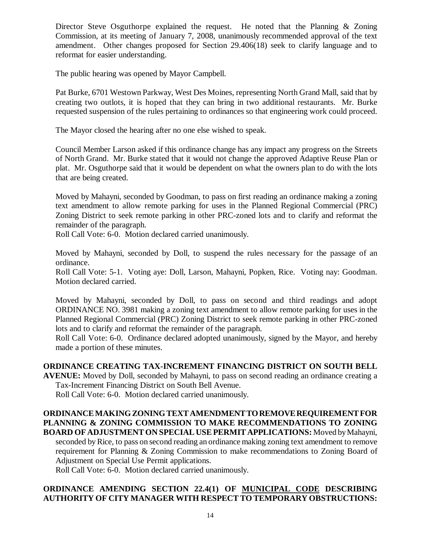Director Steve Osguthorpe explained the request. He noted that the Planning & Zoning Commission, at its meeting of January 7, 2008, unanimously recommended approval of the text amendment. Other changes proposed for Section 29.406(18) seek to clarify language and to reformat for easier understanding.

The public hearing was opened by Mayor Campbell.

Pat Burke, 6701 Westown Parkway, West Des Moines, representing North Grand Mall, said that by creating two outlots, it is hoped that they can bring in two additional restaurants. Mr. Burke requested suspension of the rules pertaining to ordinances so that engineering work could proceed.

The Mayor closed the hearing after no one else wished to speak.

Council Member Larson asked if this ordinance change has any impact any progress on the Streets of North Grand. Mr. Burke stated that it would not change the approved Adaptive Reuse Plan or plat. Mr. Osguthorpe said that it would be dependent on what the owners plan to do with the lots that are being created.

Moved by Mahayni, seconded by Goodman, to pass on first reading an ordinance making a zoning text amendment to allow remote parking for uses in the Planned Regional Commercial (PRC) Zoning District to seek remote parking in other PRC-zoned lots and to clarify and reformat the remainder of the paragraph.

Roll Call Vote: 6-0. Motion declared carried unanimously.

Moved by Mahayni, seconded by Doll, to suspend the rules necessary for the passage of an ordinance.

Roll Call Vote: 5-1. Voting aye: Doll, Larson, Mahayni, Popken, Rice. Voting nay: Goodman. Motion declared carried.

Moved by Mahayni, seconded by Doll, to pass on second and third readings and adopt ORDINANCE NO. 3981 making a zoning text amendment to allow remote parking for uses in the Planned Regional Commercial (PRC) Zoning District to seek remote parking in other PRC-zoned lots and to clarify and reformat the remainder of the paragraph.

Roll Call Vote: 6-0. Ordinance declared adopted unanimously, signed by the Mayor, and hereby made a portion of these minutes.

## **ORDINANCE CREATING TAX-INCREMENT FINANCING DISTRICT ON SOUTH BELL**

**AVENUE:** Moved by Doll, seconded by Mahayni, to pass on second reading an ordinance creating a Tax-Increment Financing District on South Bell Avenue.

Roll Call Vote: 6-0. Motion declared carried unanimously.

## **ORDINANCE MAKING ZONING TEXT AMENDMENT TO REMOVE REQUIREMENT FOR PLANNING & ZONING COMMISSION TO MAKE RECOMMENDATIONS TO ZONING BOARD OF ADJUSTMENT ON SPECIAL USE PERMIT APPLICATIONS:** Moved by Mahayni,

seconded by Rice, to pass on second reading an ordinance making zoning text amendment to remove requirement for Planning & Zoning Commission to make recommendations to Zoning Board of Adjustment on Special Use Permit applications.

Roll Call Vote: 6-0. Motion declared carried unanimously.

## **ORDINANCE AMENDING SECTION 22.4(1) OF MUNICIPAL CODE DESCRIBING AUTHORITY OF CITY MANAGER WITH RESPECT TO TEMPORARY OBSTRUCTIONS:**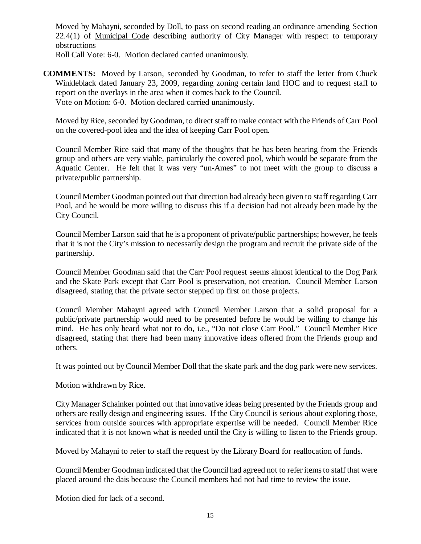Moved by Mahayni, seconded by Doll, to pass on second reading an ordinance amending Section 22.4(1) of Municipal Code describing authority of City Manager with respect to temporary obstructions

Roll Call Vote: 6-0. Motion declared carried unanimously.

**COMMENTS:** Moved by Larson, seconded by Goodman, to refer to staff the letter from Chuck Winkleblack dated January 23, 2009, regarding zoning certain land HOC and to request staff to report on the overlays in the area when it comes back to the Council. Vote on Motion: 6-0. Motion declared carried unanimously.

Moved by Rice, seconded by Goodman, to direct staff to make contact with the Friends of Carr Pool on the covered-pool idea and the idea of keeping Carr Pool open.

Council Member Rice said that many of the thoughts that he has been hearing from the Friends group and others are very viable, particularly the covered pool, which would be separate from the Aquatic Center. He felt that it was very "un-Ames" to not meet with the group to discuss a private/public partnership.

Council Member Goodman pointed out that direction had already been given to staff regarding Carr Pool, and he would be more willing to discuss this if a decision had not already been made by the City Council.

Council Member Larson said that he is a proponent of private/public partnerships; however, he feels that it is not the City's mission to necessarily design the program and recruit the private side of the partnership.

Council Member Goodman said that the Carr Pool request seems almost identical to the Dog Park and the Skate Park except that Carr Pool is preservation, not creation. Council Member Larson disagreed, stating that the private sector stepped up first on those projects.

Council Member Mahayni agreed with Council Member Larson that a solid proposal for a public/private partnership would need to be presented before he would be willing to change his mind. He has only heard what not to do, i.e., "Do not close Carr Pool." Council Member Rice disagreed, stating that there had been many innovative ideas offered from the Friends group and others.

It was pointed out by Council Member Doll that the skate park and the dog park were new services.

Motion withdrawn by Rice.

City Manager Schainker pointed out that innovative ideas being presented by the Friends group and others are really design and engineering issues. If the City Council is serious about exploring those, services from outside sources with appropriate expertise will be needed. Council Member Rice indicated that it is not known what is needed until the City is willing to listen to the Friends group.

Moved by Mahayni to refer to staff the request by the Library Board for reallocation of funds.

Council Member Goodman indicated that the Council had agreed not to refer items to staff that were placed around the dais because the Council members had not had time to review the issue.

Motion died for lack of a second.